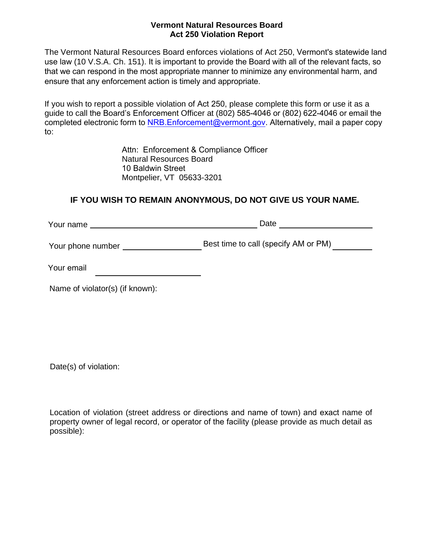## **Vermont Natural Resources Board Act 250 Violation Report**

The Vermont Natural Resources Board enforces violations of Act 250, Vermont's statewide land use law (10 V.S.A. Ch. 151). It is important to provide the Board with all of the relevant facts, so that we can respond in the most appropriate manner to minimize any environmental harm, and ensure that any enforcement action is timely and appropriate.

If you wish to report a possible violation of Act 250, please complete this form or use it as a guide to call the Board's Enforcement Officer at (802) 585-4046 or (802) 622-4046 or email the completed electronic form to NRB. Enforcement@vermont.gov. Alternatively, mail a paper copy to:

> Attn: Enforcement & Compliance Officer Natural Resources Board 10 Baldwin Street Montpelier, VT 05633-3201

## **IF YOU WISH TO REMAIN ANONYMOUS, DO NOT GIVE US YOUR NAME***.*

| Your name         | Date                                 |
|-------------------|--------------------------------------|
| Your phone number | Best time to call (specify AM or PM) |
|                   |                                      |

Your email

Name of violator(s) (if known):

Date(s) of violation:

Location of violation (street address or directions and name of town) and exact name of property owner of legal record, or operator of the facility (please provide as much detail as possible):